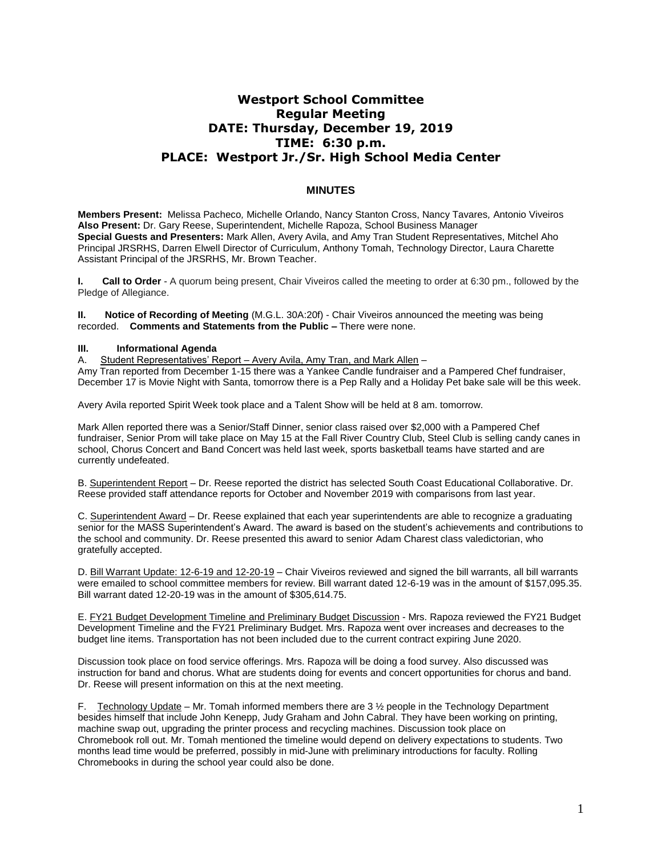# **Westport School Committee Regular Meeting DATE: Thursday, December 19, 2019 TIME: 6:30 p.m. PLACE: Westport Jr./Sr. High School Media Center**

# **MINUTES**

**Members Present:** Melissa Pacheco*,* Michelle Orlando, Nancy Stanton Cross, Nancy Tavares*,* Antonio Viveiros **Also Present:** Dr. Gary Reese, Superintendent, Michelle Rapoza, School Business Manager **Special Guests and Presenters:** Mark Allen, Avery Avila, and Amy Tran Student Representatives, Mitchel Aho Principal JRSRHS, Darren Elwell Director of Curriculum, Anthony Tomah, Technology Director, Laura Charette Assistant Principal of the JRSRHS, Mr. Brown Teacher.

**I. Call to Order** - A quorum being present, Chair Viveiros called the meeting to order at 6:30 pm., followed by the Pledge of Allegiance.

**II. Notice of Recording of Meeting** (M.G.L. 30A:20f) - Chair Viveiros announced the meeting was being recorded. **Comments and Statements from the Public –** There were none.

## **III. Informational Agenda**

A. Student Representatives' Report - Avery Avila, Amy Tran, and Mark Allen -Amy Tran reported from December 1-15 there was a Yankee Candle fundraiser and a Pampered Chef fundraiser, December 17 is Movie Night with Santa, tomorrow there is a Pep Rally and a Holiday Pet bake sale will be this week.

Avery Avila reported Spirit Week took place and a Talent Show will be held at 8 am. tomorrow.

Mark Allen reported there was a Senior/Staff Dinner, senior class raised over \$2,000 with a Pampered Chef fundraiser, Senior Prom will take place on May 15 at the Fall River Country Club, Steel Club is selling candy canes in school, Chorus Concert and Band Concert was held last week, sports basketball teams have started and are currently undefeated.

B. Superintendent Report – Dr. Reese reported the district has selected South Coast Educational Collaborative. Dr. Reese provided staff attendance reports for October and November 2019 with comparisons from last year.

C. Superintendent Award – Dr. Reese explained that each year superintendents are able to recognize a graduating senior for the MASS Superintendent's Award. The award is based on the student's achievements and contributions to the school and community. Dr. Reese presented this award to senior Adam Charest class valedictorian, who gratefully accepted.

D. Bill Warrant Update: 12-6-19 and 12-20-19 – Chair Viveiros reviewed and signed the bill warrants, all bill warrants were emailed to school committee members for review. Bill warrant dated 12-6-19 was in the amount of \$157,095.35. Bill warrant dated 12-20-19 was in the amount of \$305,614.75.

E. FY21 Budget Development Timeline and Preliminary Budget Discussion - Mrs. Rapoza reviewed the FY21 Budget Development Timeline and the FY21 Preliminary Budget. Mrs. Rapoza went over increases and decreases to the budget line items. Transportation has not been included due to the current contract expiring June 2020.

Discussion took place on food service offerings. Mrs. Rapoza will be doing a food survey. Also discussed was instruction for band and chorus. What are students doing for events and concert opportunities for chorus and band. Dr. Reese will present information on this at the next meeting.

Technology Update – Mr. Tomah informed members there are  $3\frac{1}{2}$  people in the Technology Department besides himself that include John Kenepp, Judy Graham and John Cabral. They have been working on printing, machine swap out, upgrading the printer process and recycling machines. Discussion took place on Chromebook roll out. Mr. Tomah mentioned the timeline would depend on delivery expectations to students. Two months lead time would be preferred, possibly in mid-June with preliminary introductions for faculty. Rolling Chromebooks in during the school year could also be done.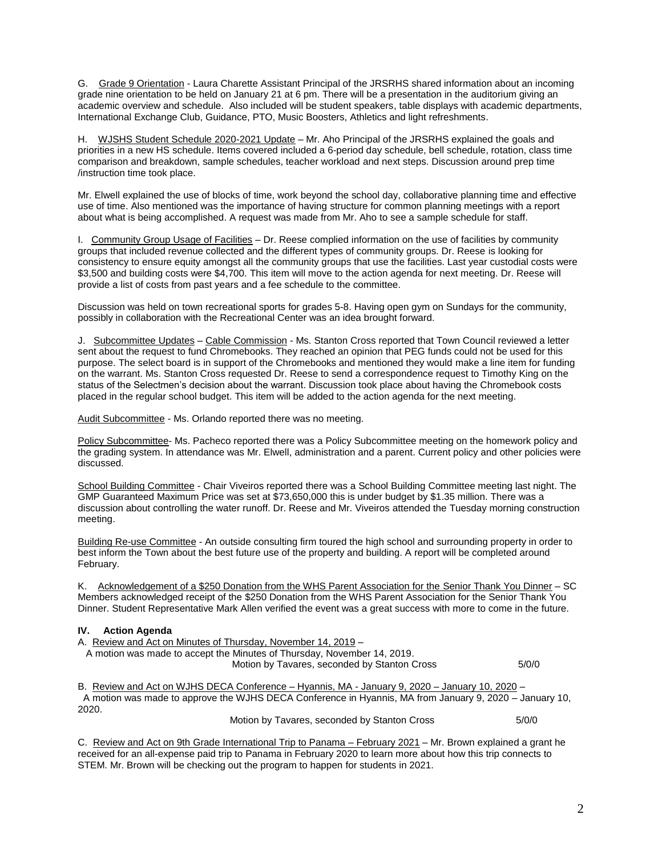G. Grade 9 Orientation - Laura Charette Assistant Principal of the JRSRHS shared information about an incoming grade nine orientation to be held on January 21 at 6 pm. There will be a presentation in the auditorium giving an academic overview and schedule. Also included will be student speakers, table displays with academic departments, International Exchange Club, Guidance, PTO, Music Boosters, Athletics and light refreshments.

H. WJSHS Student Schedule 2020-2021 Update – Mr. Aho Principal of the JRSRHS explained the goals and priorities in a new HS schedule. Items covered included a 6-period day schedule, bell schedule, rotation, class time comparison and breakdown, sample schedules, teacher workload and next steps. Discussion around prep time /instruction time took place.

Mr. Elwell explained the use of blocks of time, work beyond the school day, collaborative planning time and effective use of time. Also mentioned was the importance of having structure for common planning meetings with a report about what is being accomplished. A request was made from Mr. Aho to see a sample schedule for staff.

I. Community Group Usage of Facilities – Dr. Reese complied information on the use of facilities by community groups that included revenue collected and the different types of community groups. Dr. Reese is looking for consistency to ensure equity amongst all the community groups that use the facilities. Last year custodial costs were \$3,500 and building costs were \$4,700. This item will move to the action agenda for next meeting. Dr. Reese will provide a list of costs from past years and a fee schedule to the committee.

Discussion was held on town recreational sports for grades 5-8. Having open gym on Sundays for the community, possibly in collaboration with the Recreational Center was an idea brought forward.

J. Subcommittee Updates – Cable Commission - Ms. Stanton Cross reported that Town Council reviewed a letter sent about the request to fund Chromebooks. They reached an opinion that PEG funds could not be used for this purpose. The select board is in support of the Chromebooks and mentioned they would make a line item for funding on the warrant. Ms. Stanton Cross requested Dr. Reese to send a correspondence request to Timothy King on the status of the Selectmen's decision about the warrant. Discussion took place about having the Chromebook costs placed in the regular school budget. This item will be added to the action agenda for the next meeting.

Audit Subcommittee - Ms. Orlando reported there was no meeting.

Policy Subcommittee- Ms. Pacheco reported there was a Policy Subcommittee meeting on the homework policy and the grading system. In attendance was Mr. Elwell, administration and a parent. Current policy and other policies were discussed.

School Building Committee - Chair Viveiros reported there was a School Building Committee meeting last night. The GMP Guaranteed Maximum Price was set at \$73,650,000 this is under budget by \$1.35 million. There was a discussion about controlling the water runoff. Dr. Reese and Mr. Viveiros attended the Tuesday morning construction meeting.

Building Re-use Committee - An outside consulting firm toured the high school and surrounding property in order to best inform the Town about the best future use of the property and building. A report will be completed around February.

K. Acknowledgement of a \$250 Donation from the WHS Parent Association for the Senior Thank You Dinner – SC Members acknowledged receipt of the \$250 Donation from the WHS Parent Association for the Senior Thank You Dinner. Student Representative Mark Allen verified the event was a great success with more to come in the future.

## **IV. Action Agenda**

A. Review and Act on Minutes of Thursday, November 14, 2019 – A motion was made to accept the Minutes of Thursday, November 14, 2019. Motion by Tavares, seconded by Stanton Cross 5/0/0

B. Review and Act on WJHS DECA Conference – Hyannis, MA - January 9, 2020 – January 10, 2020 – A motion was made to approve the WJHS DECA Conference in Hyannis, MA from January 9, 2020 – January 10, 2020.

Motion by Tavares, seconded by Stanton Cross 5/0/0

C. Review and Act on 9th Grade International Trip to Panama – February 2021 – Mr. Brown explained a grant he received for an all-expense paid trip to Panama in February 2020 to learn more about how this trip connects to STEM. Mr. Brown will be checking out the program to happen for students in 2021.